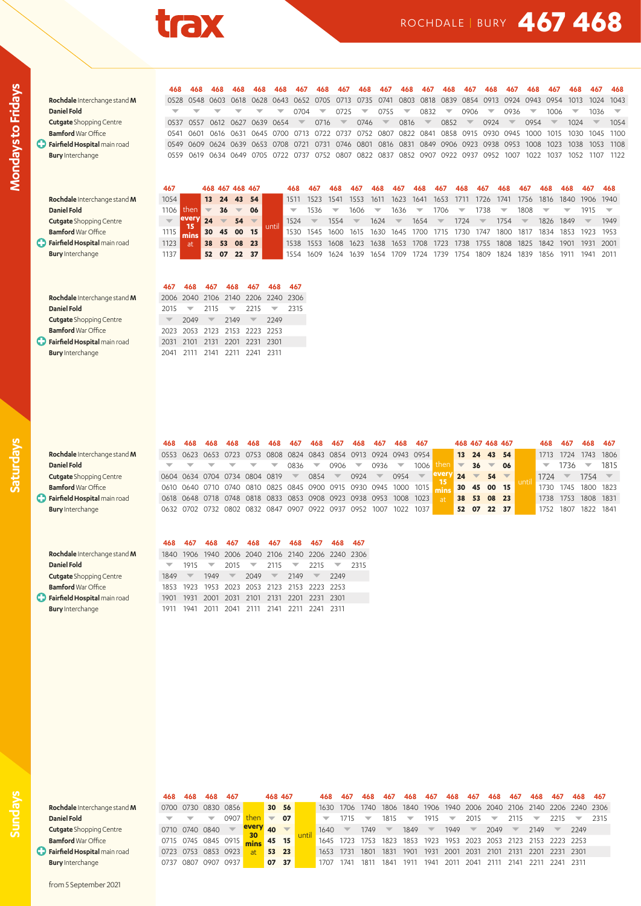

## ROCHDALE | BURY **467 468**

| ı<br>۹<br>ľ |
|-------------|
|             |
|             |
| ı<br>٦<br>ī |
| ī           |
| ١           |
| г           |
| I           |
| ٦           |
| ı           |
|             |
| ī<br>ī      |
| ١           |
| ī           |
| l<br>ī<br>ī |

**Rochdale** Interchange stand **M** 0528 0548 0603 0618 0628 0643 0652 0705 0713 0735 0741 0803 0818 0839 0854 0913 0924 0943 0954 1013 1024 1043 **Daniel Fold** x x x x x x x x 0704 x 0725 x 0755 x 0832 x 0906 x 0936 x 1006 x 1036 x **Cutgate Shopping Centre 2008 0537 0557 0612 0627 0639 0654 x 0716 x 0746 x 0816 x 0852 x 0924 x 0954 x 1024 x 1054 Bamford** War Office 0541 0601 0616 0631 0645 0700 0713 0722 0737 0752 0807 0822 0841 0858 0915 0930 0945 1000 1015 1030 1045 1100  $\bullet$  Fairfield Hospital main road 0549 0609 0624 0639 0653 0708 0721 0731 0746 0801 0816 0831 0849 0906 0923 0938 0953 1008 1023 1038 1053 1108 **Bury** Interchange 0559 0619 0634 0649 0705 0722 0737 0752 0807 0822 0837 0852 0907 0922 0937 0952 1007 1022 1037 1052 1107 1122

| Rochdale Interchange stand M        | 1054  |      |    | 13 24 | 43       | 54' | 1511 | 1523 | 1541 | 1553 | 1611 | 1623 | 1641 | 1653                          | 1711 | 1726                     | 1741 | 1756 | 1816 1840                |      | 1906 1940 |                          |
|-------------------------------------|-------|------|----|-------|----------|-----|------|------|------|------|------|------|------|-------------------------------|------|--------------------------|------|------|--------------------------|------|-----------|--------------------------|
| Daniel Fold                         | '106. | then |    | 36    |          | 06  | ┳    | 1536 |      | 1606 |      | 1636 |      | 1706.                         |      | 738                      |      | 1808 |                          | w    |           | $\overline{\phantom{0}}$ |
| <b>Cutgate</b> Shopping Centre      |       |      | 24 |       | 54       |     | 1524 |      | 1554 |      | 1624 | ▽    | 1654 |                               | 724  | $\overline{\phantom{a}}$ | 1754 |      | 1826                     | 1849 |           | 1949                     |
| <b>Bamford</b> War Office           |       |      |    |       | 30 45 00 | 15  | 1530 | 1545 | 1600 | 1615 |      |      |      | 1630 1645 1700 1715 1730 1747 |      |                          | 1800 |      | 1817 1834 1853 1923 1953 |      |           |                          |
| <b>Fairfield Hospital main road</b> |       |      | 38 | 53    | 08       | 23  | 1538 | 1553 | 1608 | 1623 | 1638 | 1653 | 1708 | 1723                          |      | 1738 1755                | 1808 | 1825 | 1842 1901                |      | 1931 2001 |                          |

C **Bury** Interchange 1137 **52 07 22 37** 1554 1609 1624 1639 1654 1709 1724 1739 1754 1809 1824 1839 1856 1911 1941 2011

**Rochdale** Interchange stand **M** 2006 2040 2106 2140 2206 2240 2306 **Daniel Fold** 2015 x 2115 x 2215 x 2315 **Cutgate** Shopping Centre **x** 2049 x 2149 x 2249 **Bamford** War Office 2023 2053 2123 2153 2223 2253 **Fairfield Hospital** main road 2031 2101 2131 2201 2231 2301 **Bury** Interchange 2041 2111 2141 2211 2241 2311

G

| <b>Rochdale</b> Interchange stand <b>N</b> |
|--------------------------------------------|
| <b>Daniel Fold</b>                         |
| <b>Cutgate Shopping Centre</b>             |
| <b>Bamford War Office</b>                  |
| Fairfield Hospital main road               |
|                                            |

**Rochdale** Interchange stand **M Cutgate** Shopping Centre **Bamford** War Office  $\bigcirc$  Fairfield Hospital main road **Bury** Interchange

|                                | 468 | 468                                                                                                                                                      | 468 468 | 468 | 468                      | 467  | 468                      | 467  | 468                      | 467                      | 468                                                              | 467                      |    |                          | 468 467 468 467 |    | 468                      | 467                      | 468                      | -467                     |
|--------------------------------|-----|----------------------------------------------------------------------------------------------------------------------------------------------------------|---------|-----|--------------------------|------|--------------------------|------|--------------------------|--------------------------|------------------------------------------------------------------|--------------------------|----|--------------------------|-----------------|----|--------------------------|--------------------------|--------------------------|--------------------------|
| Rochdale Interchange stand M   |     |                                                                                                                                                          |         |     |                          |      |                          |      |                          |                          | 0553 0623 0653 0723 0753 0808 0824 0843 0854 0913 0924 0943 0954 |                          |    |                          | 13 24 43 54     |    | 1713                     | 1724                     | 1743 1806                |                          |
| Daniel Fold                    |     | $\begin{array}{ccccccccccccccccc} \mathbf{\nabla} & \mathbf{\nabla} & \mathbf{\nabla} & \mathbf{\nabla} & \mathbf{\nabla} & \mathbf{\nabla} \end{array}$ |         |     | $\overline{\phantom{a}}$ | 0836 | $\overline{\phantom{0}}$ | 0906 | $\overline{\phantom{a}}$ | 0936                     |                                                                  | 1006                     |    | 36                       |                 | 06 | $\overline{\phantom{a}}$ | 1736                     | $\overline{\phantom{0}}$ | 1815                     |
| <b>Cutgate</b> Shopping Centre |     | 0604 0634 0704 0734 0804 0819                                                                                                                            |         |     |                          |      | $0854$ $\sqrt{ }$        |      | 0924                     | $\overline{\phantom{a}}$ | 0954                                                             | $\overline{\phantom{a}}$ | 24 | $\overline{\phantom{a}}$ | $54 -$          |    | 1724                     | $\overline{\phantom{a}}$ | 1754                     | $\overline{\phantom{a}}$ |
| <b>Bamford</b> War Office      |     |                                                                                                                                                          |         |     |                          |      |                          |      |                          |                          | 0610 0640 0710 0740 0810 0825 0845 0900 0915 0930 0945 1000 1015 |                          |    |                          | 30 45 00 15     |    | 1730 1745                |                          | 1800 1823                |                          |
| Fairfield Hospital main road   |     |                                                                                                                                                          |         |     |                          |      |                          |      |                          |                          | 0618 0648 0718 0748 0818 0833 0853 0908 0923 0938 0953 1008 1023 |                          |    |                          | 38 53 08 23     |    | 1738 1753                |                          | 1808 1831                |                          |
| <b>Bury</b> Interchange        |     |                                                                                                                                                          |         |     |                          |      |                          |      |                          |                          | 0632 0702 0732 0802 0832 0847 0907 0922 0937 0952 1007 1022 1037 |                          |    |                          | 52 07 22 37     |    | 1752 1807                |                          | 1822 1841                |                          |
|                                |     |                                                                                                                                                          |         |     |                          |      |                          |      |                          |                          |                                                                  |                          |    |                          |                 |    |                          |                          |                          |                          |

468 468 468 468 468 468 467 468 467 468 467 468 467 468 467 468 467 468 467 468 467 468 467 468

467 468 467 468 467 468 467 468 467 468 467 468 467 468 467 468 467 468 468 468 467 468

1115 **615 130 145 00 15 1110** 1530 1545 1600 1615 1630 1645 1700 1715 1730 1747 1800 1817 1834 1853 1923 1953 **Fairfield Hospital** main road 1123 **38 53 08 23** 1538 1553 1608 1623 1638 1653 1708 1723 1738 1755 1808 1825 1842 1901 1931 2001

|                                | 468  | 467                      |                          |                          | 468 467 468 467                                   |                   |                          | 468 467                  | 468 467                  |      |
|--------------------------------|------|--------------------------|--------------------------|--------------------------|---------------------------------------------------|-------------------|--------------------------|--------------------------|--------------------------|------|
| Rochdale Interchange stand M   |      |                          |                          |                          | 1840 1906 1940 2006 2040 2106 2140 2206 2240 2306 |                   |                          |                          |                          |      |
| Daniel Fold                    |      | 1915                     | $\overline{\phantom{0}}$ | 2015                     | $\sqrt{2115}$                                     |                   | $\overline{\phantom{a}}$ | 2215                     | $\overline{\phantom{a}}$ | 2315 |
| <b>Cutgate</b> Shopping Centre | 1849 | $\overline{\phantom{a}}$ | 1949                     | $\overline{\phantom{0}}$ | 2049                                              | <b>STATISTICS</b> | 2149                     | $\overline{\phantom{a}}$ | 2249                     |      |
| <b>Bamford</b> War Office      |      |                          |                          |                          | 1853 1923 1953 2023 2053 2123 2153 2223 2253      |                   |                          |                          |                          |      |
| Fairfield Hospital main road   | 1901 |                          |                          |                          | 1931 2001 2031 2101 2131 2201 2231 2301           |                   |                          |                          |                          |      |
| <b>Bury</b> Interchange        |      | 1941                     | 2011                     |                          | 2041 2111 2141 2211                               |                   |                          | 2241 2311                |                          |      |

**467 468 467 468 467 468 467**

| -- |
|----|
|    |

| Rochdale Interchange stand     |
|--------------------------------|
| <b>Daniel Fold</b>             |
| <b>Cutgate Shopping Centre</b> |
| <b>Bamford War Office</b>      |
| Fairfield Hospital main road   |
|                                |

|                                     | 468.                           | 468                      | 468 467                  |                          |                     | 468 467                  |       | 468                      | 467                      | 468                      | 467                      | 468                      | 467                      | 468                      | 467                      | 468                                                              | 467                      | 468                      | 467       | 468 467                                                          |      |
|-------------------------------------|--------------------------------|--------------------------|--------------------------|--------------------------|---------------------|--------------------------|-------|--------------------------|--------------------------|--------------------------|--------------------------|--------------------------|--------------------------|--------------------------|--------------------------|------------------------------------------------------------------|--------------------------|--------------------------|-----------|------------------------------------------------------------------|------|
| Rochdale Interchange stand M        |                                |                          |                          | 0700 0730 0830 0856      |                     | 30 56                    |       | 1630                     |                          |                          |                          |                          |                          |                          |                          |                                                                  |                          |                          |           | 1706 1740 1806 1840 1906 1940 2006 2040 2106 2140 2206 2240 2306 |      |
| Daniel Fold                         |                                | $\overline{\phantom{a}}$ | $\overline{\phantom{0}}$ | 0907                     | then                | $\overline{\phantom{a}}$ | 07    | $\overline{\phantom{a}}$ | 1715                     | $\overline{\phantom{a}}$ | 1815                     | $\overline{\phantom{a}}$ | 1915                     | $\overline{\phantom{0}}$ | 2015                     | $\overline{\phantom{a}}$                                         | 2115                     | $\overline{\phantom{0}}$ | 2215      | ▼                                                                | 2315 |
| <b>Cutgate</b> Shopping Centre      |                                |                          | 0710 0740 0840           | $\overline{\phantom{a}}$ | every <sub>40</sub> |                          |       | 1640                     | $\overline{\phantom{a}}$ | 1749                     | $\overline{\phantom{0}}$ | 1849                     | $\overline{\phantom{a}}$ | 1949                     | $\overline{\phantom{0}}$ | 2049                                                             | $\overline{\phantom{a}}$ | 2149                     |           | 2249                                                             |      |
| <b>Bamford</b> War Office           | 0715 0745 0845 0915 mins 45 15 |                          |                          |                          |                     |                          |       |                          |                          |                          |                          |                          |                          |                          |                          | 1645 1723 1753 1823 1853 1923 1953 2023 2053 2123 2153 2223 2253 |                          |                          |           |                                                                  |      |
| <b>Fairfield Hospital</b> main road |                                |                          |                          | 0723 0753 0853 0923      | at                  |                          | 53 23 | 1653                     | 1731                     | 1801                     | 1831 1901                |                          | 1931                     | 2001 2031                |                          | 2101 2131                                                        |                          | 2201                     | 2231 2301 |                                                                  |      |
| <b>Bury</b> Interchange             |                                | 0737 0807                | 0907                     | 0937                     |                     | 07 37                    |       | 1707                     | 1741                     | 1811                     | 1841                     | 1911                     | 1941                     | 2011                     | 2041                     | - 2111                                                           | 2141                     | -2211                    | 2241 2311 |                                                                  |      |